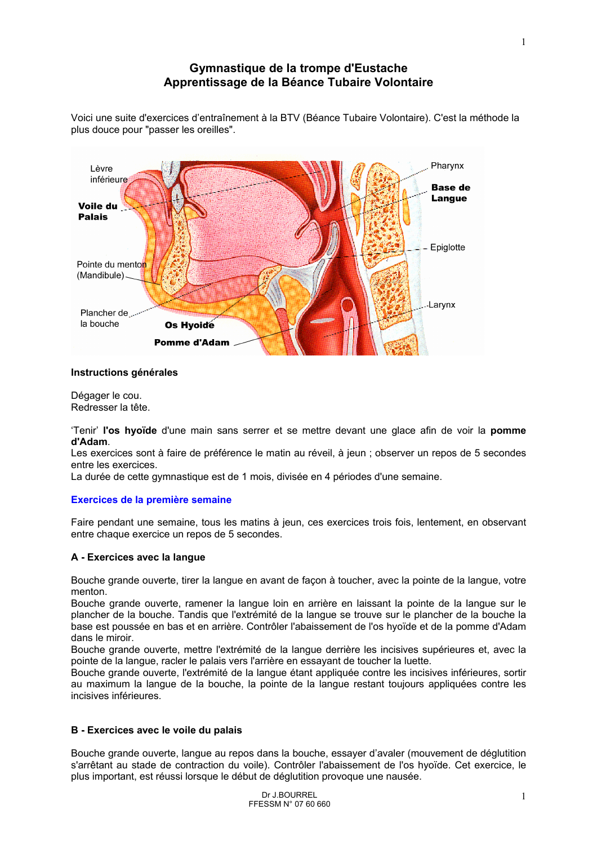# Gymnastique de la trompe d'Eustache Apprentissage de la Béance Tubaire Volontaire



Voici une suite d'exercices d'entraînement à la BTV (Béance Tubaire Volontaire). C'est la méthode la plus douce pour "passer les oreilles".

# Instructions générales

Dégager le cou. Redresser la tête.

'Tenir' l'os hyoïde d'une main sans serrer et se mettre devant une glace afin de voir la pomme d'Adam.

Les exercices sont à faire de préférence le matin au réveil, à jeun ; observer un repos de 5 secondes entre les exercices.

La durée de cette gymnastique est de 1 mois, divisée en 4 périodes d'une semaine.

# Exercices de la première semaine

Faire pendant une semaine, tous les matins à jeun, ces exercices trois fois, lentement, en observant entre chaque exercice un repos de 5 secondes.

# A - Exercices avec la langue

Bouche grande ouverte, tirer la langue en avant de facon à toucher, avec la pointe de la langue, votre menton.

Bouche grande ouverte, ramener la langue loin en arrière en laissant la pointe de la langue sur le plancher de la bouche. Tandis que l'extrémité de la langue se trouve sur le plancher de la bouche la base est poussée en bas et en arrière. Contrôler l'abaissement de l'os hyoïde et de la pomme d'Adam dans le miroir.

Bouche grande ouverte, mettre l'extrémité de la langue derrière les incisives supérieures et, avec la pointe de la langue, racler le palais vers l'arrière en essayant de toucher la luette.

Bouche grande ouverte, l'extrémité de la langue étant appliquée contre les incisives inférieures, sortir au maximum la langue de la bouche, la pointe de la langue restant toujours appliquées contre les incisives inférieures.

# B - Exercices avec le voile du palais

Bouche grande ouverte, langue au repos dans la bouche, essayer d'avaler (mouvement de déglutition s'arrêtant au stade de contraction du voile). Contrôler l'abaissement de l'os hyoïde. Cet exercice, le plus important, est réussi lorsque le début de déglutition provoque une nausée.